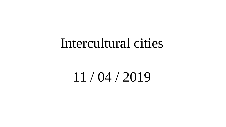## Intercultural cities

# 11 / 04 / 2019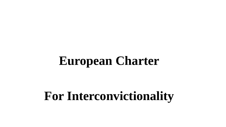# **European Charter**

# **For Interconvictionality**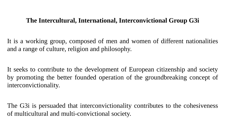#### **The Intercultural, International, Interconvictional Group G3i**

It is a working group, composed of men and women of different nationalities and a range of culture, religion and philosophy.

It seeks to contribute to the development of European citizenship and society by promoting the better founded operation of the groundbreaking concept of interconvictionality.

The G3i is persuaded that interconvictionality contributes to the cohesiveness of multicultural and multi-convictional society.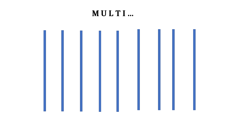### MULTI...

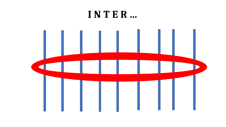### INTER...

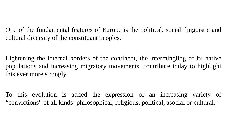One of the fundamental features of Europe is the political, social, linguistic and cultural diversity of the constituant peoples.

Lightening the internal borders of the continent, the intermingling of its native populations and increasing migratory movements, contribute today to highlight this ever more strongly.

To this evolution is added the expression of an increasing variety of "convictions" of all kinds: philosophical, religious, political, asocial or cultural.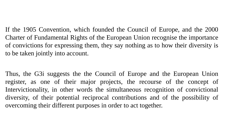If the 1905 Convention, which founded the Council of Europe, and the 2000 Charter of Fundamental Rights of the European Union recognise the importance of convictions for expressing them, they say nothing as to how their diversity is to be taken jointly into account.

Thus, the G3i suggests the the Council of Europe and the European Union register, as one of their major projects, the recourse of the concept of Intervictionality, in other words the simultaneous recognition of convictional diversity, of their potential reciprocal contributions and of the possibility of overcoming their different purposes in order to act together.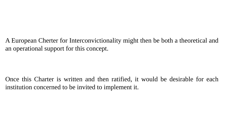A European Cherter for Interconvictionality might then be both a theoretical and an operational support for this concept.

Once this Charter is written and then ratified, it would be desirable for each institution concerned to be invited to implement it.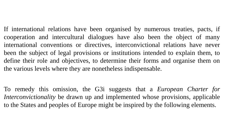If international relations have been organised by numerous treaties, pacts, if cooperation and intercultural dialogues have also been the object of many international conventions or directives, interconvictional relations have never been the subject of legal provisions or institutions intended to explain them, to define their role and objectives, to determine their forms and organise them on the various levels where they are nonetheless indispensable.

To remedy this omission, the G3i suggests that a *European Charter for Interconvictionality* be drawn up and implemented whose provisions, applicable to the States and peoples of Europe might be inspired by the following elements.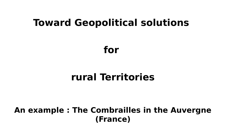## **Toward Geopolitical solutions**

**for** 

## **rural Territories**

### **An example : The Combrailles in the Auvergne (France)**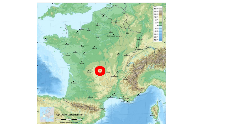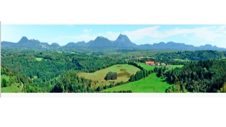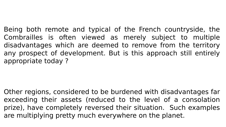Being both remote and typical of the French countryside, the Combrailles is often viewed as merely subject to multiple disadvantages which are deemed to remove from the territory any prospect of development. But is this approach still entirely appropriate today ?

Other regions, considered to be burdened with disadvantages far exceeding their assets (reduced to the level of a consolation prize), have completely reversed their situation. Such examples are multiplying pretty much everywhere on the planet.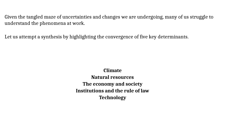Given the tangled maze of uncertainties and changes we are undergoing, many of us struggle to understand the phenomena at work.

Let us attempt a synthesis by highlighting the convergence of five key determinants.

**Climate Natural resources The economy and society Institutions and the rule of law Technology**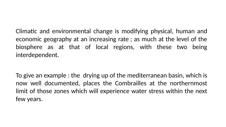Climatic and environmental change is modifying physical, human and economic geography at an increasing rate ; as much at the level of the biosphere as at that of local regions, with these two being interdependent.

To give an example : the drying up of the mediterranean basin, which is now well documented, places the Combrailles at the northernmost limit of those zones which will experience water stress within the next few years.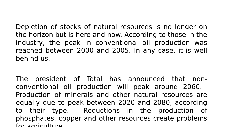Depletion of stocks of natural resources is no longer on the horizon but is here and now. According to those in the industry, the peak in conventional oil production was reached between 2000 and 2005. In any case, it is well behind us.

The president of Total has announced that nonconventional oil production will peak around 2060. Production of minerals and other natural resources are equally due to peak between 2020 and 2080, according to their type. Reductions in the production of phosphates, copper and other resources create problems for agriculture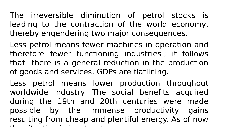The irreversible diminution of petrol stocks is leading to the contraction of the world economy, thereby engendering two major consequences.

Less petrol means fewer machines in operation and therefore fewer functioning industries ; it follows that there is a general reduction in the production of goods and services. GDPs are flatlining.

Less petrol means lower production throughout worldwide industry. The social benefits acquired during the 19th and 20th centuries were made possible by the immense productivity gains resulting from cheap and plentiful energy. As of now the situation is in retreat.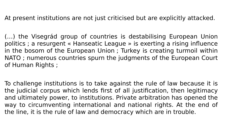At present institutions are not just criticised but are explicitly attacked.

(…) the Visegrád group of countries is destabilising European Union politics ; a resurgent « Hanseatic League » is exerting a rising influence in the bosom of the European Union ; Turkey is creating turmoil within NATO ; numerous countries spurn the judgments of the European Court of Human Rights ;

To challenge institutions is to take against the rule of law because it is the judicial corpus which lends first of all justification, then legitimacy and ultimately power, to institutions. Private arbitration has opened the way to circumventing international and national rights. At the end of the line, it is the rule of law and democracy which are in trouble.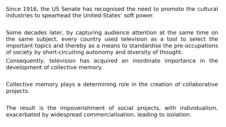Since 1916, the US Senate has recognised the need to promote the cultural industries to spearhead the United-States' soft power.

Some decades later, by capturing audience attention at the same time on the same subject, every country used television as a tool to select the important topics and thereby as a means to standardise the pre-occupations of society by short-circuiting autonomy and diversity of thought.

Consequently, television has acquired an inordinate importance in the development of collective memory.

Collective memory plays a determining role in the creation of collaborative projects.

The result is the impoverishment of social projects, with individualism, exacerbated by widespread commercialisation, leading to isolation.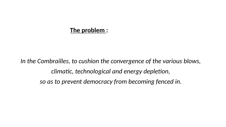#### **The problem :**

*In the Combrailles, to cushion the convergence of the various blows, climatic, technological and energy depletion, so as to prevent democracy from becoming fenced in.*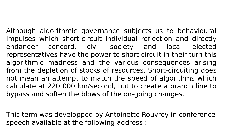Although algorithmic governance subjects us to behavioural impulses which short-circuit individual reflection and directly endanger concord, civil society and local elected representatives have the power to short-circuit in their turn this algorithmic madness and the various consequences arising from the depletion of stocks of resources. Short-circuiting does not mean an attempt to match the speed of algorithms which calculate at 220 000 km/second, but to create a branch line to bypass and soften the blows of the on-going changes.

This term was developped by Antoinette Rouvroy in conference speech available at the following address :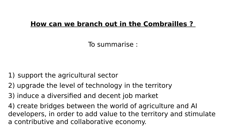### **How can we branch out in the Combrailles ?**

To summarise :

- 1) support the agricultural sector
- 2) upgrade the level of technology in the territory
- 3) induce a diversified and decent job market

4) create bridges between the world of agriculture and AI developers, in order to add value to the territory and stimulate a contributive and collaborative economy.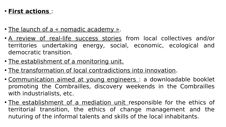### • **First actions** :

- The launch of a « nomadic academy ».
- A review of real-life success stories from local collectives and/or territories undertaking energy, social, economic, ecological and democratic transition.
- The establishment of a monitoring unit.
- The transformation of local contradictions into innovation.
- Communication aimed at young engineers : a downloadable booklet promoting the Combrailles, discovery weekends in the Combrailles with industrialists, etc.
- The establishment of a mediation unit responsible for the ethics of territorial transition, the ethics of change management and the nuturing of the informal talents and skills of the local inhabitants.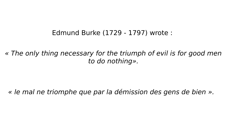### Edmund Burke (1729 - 1797) wrote :

« The only thing necessary for the triumph of evil is for good men to do nothing».

« le mal ne triomphe que par la démission des gens de bien ».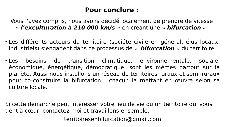### **Pour conclure :**

Vous l'avez compris, nous avons décidé localement de prendre de vitesse « **l'exculturation à 210 000 km/s** » en créant une « **bifurcation** ».

- Les différents acteurs du territoire (société civile en général, élus locaux, industriels) s'engagent dans ce processus de « **bifurcation** » du territoire.
- Les besoins de transition climatique, environnementale, sociale, économique, énergétique, démocratique, sont les mêmes partout sur la planète. Aussi nous installons un réseau de territoires ruraux et semi-ruraux pour co-construire la bifurcation ; chacun la mettant en œuvre selon sa culture locale.

Si cette démarche peut intéresser votre lieu de vie ou un territoire qui vous tient à cœur, contactez-moi et travaillons ensemble.

territoiresenbifurcation@gmail.com